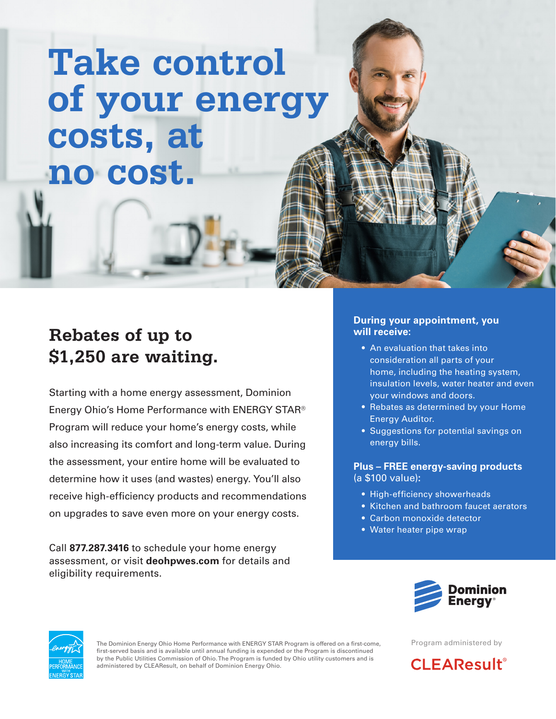# **Take control of your energy costs, at no cost.**

## **Rebates of up to \$1,250 are waiting.**

Starting with a home energy assessment, Dominion Energy Ohio's Home Performance with ENERGY STAR® Program will reduce your home's energy costs, while also increasing its comfort and long-term value. During the assessment, your entire home will be evaluated to determine how it uses (and wastes) energy. You'll also receive high-efficiency products and recommendations on upgrades to save even more on your energy costs.

Call **877.287.3416** to schedule your home energy assessment, or visit **deohpwes.com** for details and eligibility requirements.

#### **During your appointment, you will receive:**

- An evaluation that takes into consideration all parts of your home, including the heating system, insulation levels, water heater and even your windows and doors.
- Rebates as determined by your Home Energy Auditor.
- Suggestions for potential savings on energy bills.

#### **Plus – FREE energy-saving products** (a \$100 value)**:**

- High-efficiency showerheads
- Kitchen and bathroom faucet aerators
- Carbon monoxide detector
- Water heater pipe wrap





The Dominion Energy Ohio Home Performance with ENERGY STAR Program is offered on a first-come, first-served basis and is available until annual funding is expended or the Program is discontinued by the Public Utilities Commission of Ohio. The Program is funded by Ohio utility customers and is administered by CLEAResult, on behalf of Dominion Energy Ohio.

Program administered by